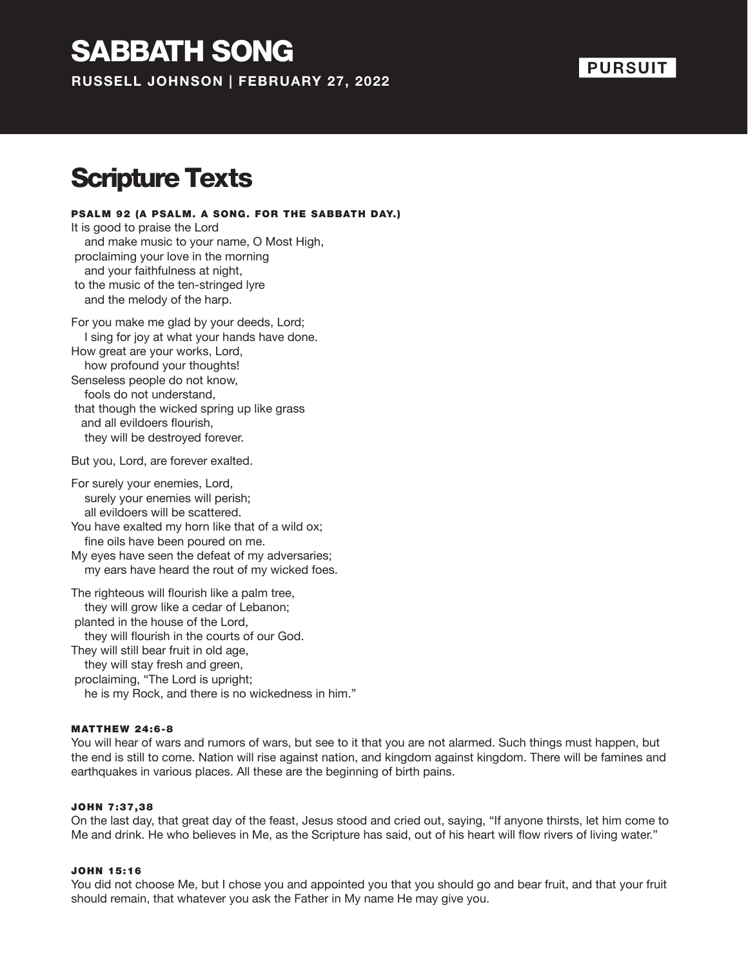# SABBATH SONG

**RUSSELL JOHNSON | FEBRUARY 27, 2022**

## **PURSUIT**

## Scripture Texts

#### PSALM 92 (A PSALM. A SONG. FOR THE SABBATH DAY.)

It is good to praise the Lord and make music to your name, O Most High, proclaiming your love in the morning and your faithfulness at night, to the music of the ten-stringed lyre and the melody of the harp.

For you make me glad by your deeds, Lord; I sing for joy at what your hands have done. How great are your works, Lord, how profound your thoughts! Senseless people do not know, fools do not understand, that though the wicked spring up like grass and all evildoers flourish, they will be destroyed forever.

But you, Lord, are forever exalted.

For surely your enemies, Lord, surely your enemies will perish; all evildoers will be scattered. You have exalted my horn like that of a wild ox; fine oils have been poured on me.

My eyes have seen the defeat of my adversaries; my ears have heard the rout of my wicked foes.

The righteous will flourish like a palm tree, they will grow like a cedar of Lebanon; planted in the house of the Lord, they will flourish in the courts of our God. They will still bear fruit in old age, they will stay fresh and green,

proclaiming, "The Lord is upright;

he is my Rock, and there is no wickedness in him."

#### **MATTHEW 24:6-8**

You will hear of wars and rumors of wars, but see to it that you are not alarmed. Such things must happen, but the end is still to come. Nation will rise against nation, and kingdom against kingdom. There will be famines and earthquakes in various places. All these are the beginning of birth pains.

#### JOHN 7:37,38

On the last day, that great day of the feast, Jesus stood and cried out, saying, "If anyone thirsts, let him come to Me and drink. He who believes in Me, as the Scripture has said, out of his heart will flow rivers of living water."

#### **JOHN 15:16**

You did not choose Me, but I chose you and appointed you that you should go and bear fruit, and that your fruit should remain, that whatever you ask the Father in My name He may give you.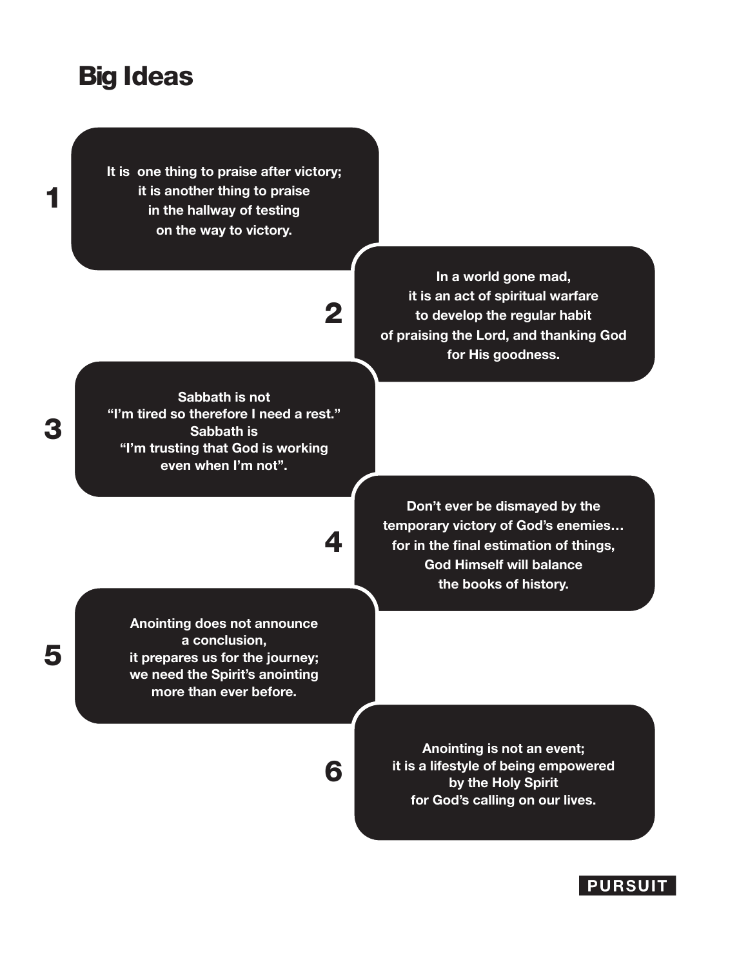## Big Ideas

**It is one thing to praise after victory; it is another thing to praise in the hallway of testing on the way to victory.**

# 2

4

6

**Sabbath is not "I'm tired so therefore I need a rest." Sabbath is "I'm trusting that God is working even when I'm not".**

> **Anointing does not announce a conclusion, it prepares us for the journey; we need the Spirit's anointing more than ever before.**

**Don't ever be dismayed by the temporary victory of God's enemies… for in the final estimation of things, God Himself will balance the books of history.**

**In a world gone mad, it is an act of spiritual warfare to develop the regular habit of praising the Lord, and thanking God for His goodness.**

**Anointing is not an event; it is a lifestyle of being empowered by the Holy Spirit for God's calling on our lives.** 

1

5

### **PURSUIT**